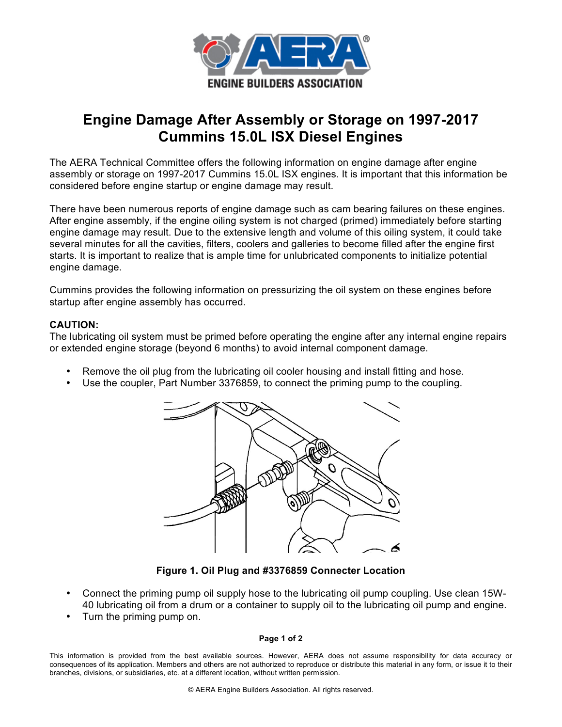

## **Engine Damage After Assembly or Storage on 1997-2017 Cummins 15.0L ISX Diesel Engines**

The AERA Technical Committee offers the following information on engine damage after engine assembly or storage on 1997-2017 Cummins 15.0L ISX engines. It is important that this information be considered before engine startup or engine damage may result.

There have been numerous reports of engine damage such as cam bearing failures on these engines. After engine assembly, if the engine oiling system is not charged (primed) immediately before starting engine damage may result. Due to the extensive length and volume of this oiling system, it could take several minutes for all the cavities, filters, coolers and galleries to become filled after the engine first starts. It is important to realize that is ample time for unlubricated components to initialize potential engine damage.

Cummins provides the following information on pressurizing the oil system on these engines before startup after engine assembly has occurred.

## **CAUTION:**

The lubricating oil system must be primed before operating the engine after any internal engine repairs or extended engine storage (beyond 6 months) to avoid internal component damage.

- Remove the oil plug from the lubricating oil cooler housing and install fitting and hose.
- Use the coupler, Part Number 3376859, to connect the priming pump to the coupling.



**Figure 1. Oil Plug and #3376859 Connecter Location**

- Connect the priming pump oil supply hose to the lubricating oil pump coupling. Use clean 15W-40 lubricating oil from a drum or a container to supply oil to the lubricating oil pump and engine.
- Turn the priming pump on.

## **Page 1 of 2**

This information is provided from the best available sources. However, AERA does not assume responsibility for data accuracy or consequences of its application. Members and others are not authorized to reproduce or distribute this material in any form, or issue it to their branches, divisions, or subsidiaries, etc. at a different location, without written permission.